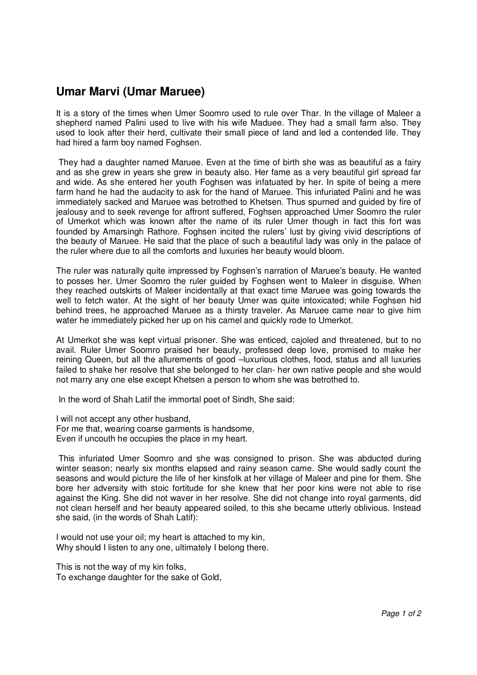## **Umar Marvi (Umar Maruee)**

It is a story of the times when Umer Soomro used to rule over Thar. In the village of Maleer a shepherd named Palini used to live with his wife Maduee. They had a small farm also. They used to look after their herd, cultivate their small piece of land and led a contended life. They had hired a farm boy named Foghsen.

 They had a daughter named Maruee. Even at the time of birth she was as beautiful as a fairy and as she grew in years she grew in beauty also. Her fame as a very beautiful girl spread far and wide. As she entered her youth Foghsen was infatuated by her. In spite of being a mere farm hand he had the audacity to ask for the hand of Maruee. This infuriated Palini and he was immediately sacked and Maruee was betrothed to Khetsen. Thus spurned and guided by fire of jealousy and to seek revenge for affront suffered, Foghsen approached Umer Soomro the ruler of Umerkot which was known after the name of its ruler Umer though in fact this fort was founded by Amarsingh Rathore. Foghsen incited the rulers' lust by giving vivid descriptions of the beauty of Maruee. He said that the place of such a beautiful lady was only in the palace of the ruler where due to all the comforts and luxuries her beauty would bloom.

The ruler was naturally quite impressed by Foghsen's narration of Maruee's beauty. He wanted to posses her. Umer Soomro the ruler guided by Foghsen went to Maleer in disguise. When they reached outskirts of Maleer incidentally at that exact time Maruee was going towards the well to fetch water. At the sight of her beauty Umer was quite intoxicated; while Foghsen hid behind trees, he approached Maruee as a thirsty traveler. As Maruee came near to give him water he immediately picked her up on his camel and quickly rode to Umerkot.

At Umerkot she was kept virtual prisoner. She was enticed, cajoled and threatened, but to no avail. Ruler Umer Soomro praised her beauty, professed deep love, promised to make her reining Queen, but all the allurements of good –luxurious clothes, food, status and all luxuries failed to shake her resolve that she belonged to her clan- her own native people and she would not marry any one else except Khetsen a person to whom she was betrothed to.

In the word of Shah Latif the immortal poet of Sindh, She said:

I will not accept any other husband,

For me that, wearing coarse garments is handsome,

Even if uncouth he occupies the place in my heart.

 This infuriated Umer Soomro and she was consigned to prison. She was abducted during winter season; nearly six months elapsed and rainy season came. She would sadly count the seasons and would picture the life of her kinsfolk at her village of Maleer and pine for them. She bore her adversity with stoic fortitude for she knew that her poor kins were not able to rise against the King. She did not waver in her resolve. She did not change into royal garments, did not clean herself and her beauty appeared soiled, to this she became utterly oblivious. Instead she said, (in the words of Shah Latif):

I would not use your oil; my heart is attached to my kin, Why should I listen to any one, ultimately I belong there.

This is not the way of my kin folks, To exchange daughter for the sake of Gold,